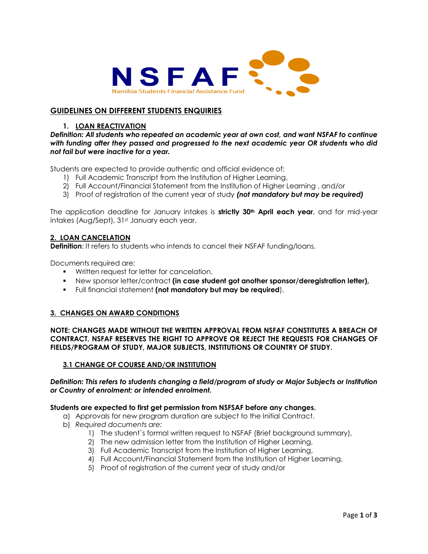

# **GUIDELINES ON DIFFERENT STUDENTS ENQUIRIES**

### **1. LOAN REACTIVATION**

*Definition: All students who repeated an academic year at own cost, and want NSFAF to continue with funding after they passed and progressed to the next academic year OR students who did not fail but were inactive for a year.*

Students are expected to provide authentic and official evidence of:

- 1) Full Academic Transcript from the Institution of Higher Learning,
- 2) Full Account/Financial Statement from the Institution of Higher Learning , and/or
- 3) Proof of registration of the current year of study *(not mandatory but may be required)*

The application deadline for January intakes is **strictly 30th April each year**, and for mid-year intakes (Aug/Sept), 31st January each year.

## **2. LOAN CANCELATION**

**Definition**: It refers to students who intends to cancel their NSFAF funding/loans.

Documents required are:

- **Written request for letter for cancelation.**
- New sponsor letter/contract **(in case student got another sponsor/deregistration letter),**
- Full financial statement **(not mandatory but may be required**).

### **3. CHANGES ON AWARD CONDITIONS**

**NOTE: CHANGES MADE WITHOUT THE WRITTEN APPROVAL FROM NSFAF CONSTITUTES A BREACH OF CONTRACT. NSFAF RESERVES THE RIGHT TO APPROVE OR REJECT THE REQUESTS FOR CHANGES OF FIELDS/PROGRAM OF STUDY, MAJOR SUBJECTS, INSTITUTIONS OR COUNTRY OF STUDY.**

### **3.1 CHANGE OF COURSE AND/OR INSTITUTION**

## *Definition: This refers to students changing a field/program of study or Major Subjects or Institution or Country of enrolment; or intended enrolment.*

### **Students are expected to first get permission from NSFSAF before any changes.**

- a) Approvals for new program duration are subject to the Initial Contract.
- b) *Required documents are:* 
	- 1) The student`s formal written request to NSFAF (Brief background summary),
	- 2) The new admission letter from the Institution of Higher Learning,
	- 3) Full Academic Transcript from the Institution of Higher Learning,
	- 4) Full Account/Financial Statement from the Institution of Higher Learning,
	- 5) Proof of registration of the current year of study and/or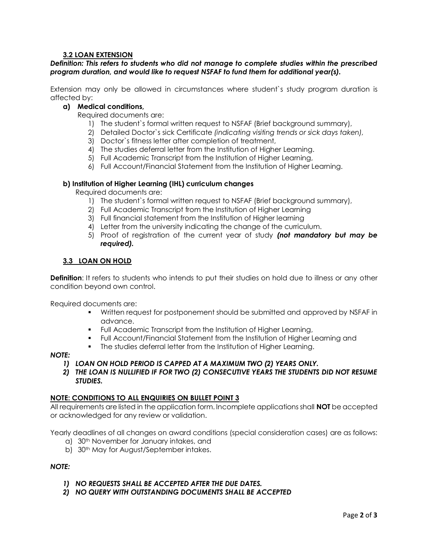# **3.2 LOAN EXTENSION**

## *Definition: This refers to students who did not manage to complete studies within the prescribed program duration, and would like to request NSFAF to fund them for additional year(s).*

Extension may only be allowed in circumstances where student`s study program duration is affected by:

# **a) Medical conditions,**

Required documents are:

- 1) The student`s formal written request to NSFAF (Brief background summary),
- 2) Detailed Doctor`s sick Certificate *(indicating visiting trends or sick days taken),*
- 3) Doctor`s fitness letter after completion of treatment,
- 4) The studies deferral letter from the Institution of Higher Learning.
- 5) Full Academic Transcript from the Institution of Higher Learning,
- 6) Full Account/Financial Statement from the Institution of Higher Learning.

### **b) Institution of Higher Learning (IHL) curriculum changes**

Required documents are:

- 1) The student`s formal written request to NSFAF (Brief background summary),
- 2) Full Academic Transcript from the Institution of Higher Learning
- 3) Full financial statement from the Institution of Higher learning
- 4) Letter from the university indicating the change of the curriculum.
- 5) Proof of registration of the current year of study *(not mandatory but may be required).*

## **3.3 LOAN ON HOLD**

**Definition:** It refers to students who intends to put their studies on hold due to illness or any other condition beyond own control.

Required documents are:

- Written request for postponement should be submitted and approved by NSFAF in advance.
- **FUIL Academic Transcript from the Institution of Higher Learning,**
- Full Account/Financial Statement from the Institution of Higher Learning and
- **The studies deferral letter from the Institution of Higher Learning.**

### *NOTE:*

- *1) LOAN ON HOLD PERIOD IS CAPPED AT A MAXIMUM TWO (2) YEARS ONLY.*
- *2) THE LOAN IS NULLIFIED IF FOR TWO (2) CONSECUTIVE YEARS THE STUDENTS DID NOT RESUME STUDIES.*

### **NOTE: CONDITIONS TO ALL ENQUIRIES ON BULLET POINT 3**

All requirements are listed in the application form. Incomplete applications shall **NOT** be accepted or acknowledged for any review or validation.

Yearly deadlines of all changes on award conditions (special consideration cases) are as follows:

- a) 30th November for January intakes, and
- b) 30<sup>th</sup> May for August/September intakes.

# *NOTE:*

- *1) NO REQUESTS SHALL BE ACCEPTED AFTER THE DUE DATES.*
- *2) NO QUERY WITH OUTSTANDING DOCUMENTS SHALL BE ACCEPTED*